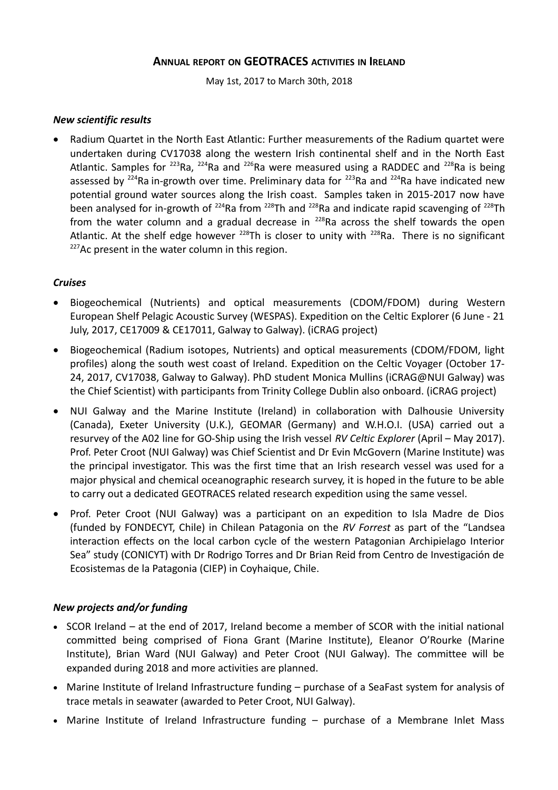# **ANNUAL REPORT ON GEOTRACES ACTIVITIES IN IRELAND**

May 1st, 2017 to March 30th, 2018

## *New scientific results*

 Radium Quartet in the North East Atlantic: Further measurements of the Radium quartet were undertaken during CV17038 along the western Irish continental shelf and in the North East Atlantic. Samples for  $^{223}$ Ra,  $^{224}$ Ra and  $^{226}$ Ra were measured using a RADDEC and  $^{228}$ Ra is being assessed by  $^{224}$ Ra in-growth over time. Preliminary data for  $^{223}$ Ra and  $^{224}$ Ra have indicated new potential ground water sources along the Irish coast. Samples taken in 2015-2017 now have been analysed for in-growth of  $^{224}$ Ra from  $^{228}$ Th and  $^{228}$ Ra and indicate rapid scavenging of  $^{228}$ Th from the water column and a gradual decrease in  $228$ Ra across the shelf towards the open Atlantic. At the shelf edge however  $^{228}$ Th is closer to unity with  $^{228}$ Ra. There is no significant  $227$ Ac present in the water column in this region.

## *Cruises*

- Biogeochemical (Nutrients) and optical measurements (CDOM/FDOM) during Western European Shelf Pelagic Acoustic Survey (WESPAS). Expedition on the Celtic Explorer (6 June - 21 July, 2017, CE17009 & CE17011, Galway to Galway). (iCRAG project)
- Biogeochemical (Radium isotopes, Nutrients) and optical measurements (CDOM/FDOM, light profiles) along the south west coast of Ireland. Expedition on the Celtic Voyager (October 17- 24, 2017, CV17038, Galway to Galway). PhD student Monica Mullins (iCRAG@NUI Galway) was the Chief Scientist) with participants from Trinity College Dublin also onboard. (iCRAG project)
- NUI Galway and the Marine Institute (Ireland) in collaboration with Dalhousie University (Canada), Exeter University (U.K.), GEOMAR (Germany) and W.H.O.I. (USA) carried out a resurvey of the A02 line for GO-Ship using the Irish vessel *RV Celtic Explorer* (April – May 2017). Prof. Peter Croot (NUI Galway) was Chief Scientist and Dr Evin McGovern (Marine Institute) was the principal investigator. This was the first time that an Irish research vessel was used for a major physical and chemical oceanographic research survey, it is hoped in the future to be able to carry out a dedicated GEOTRACES related research expedition using the same vessel.
- Prof. Peter Croot (NUI Galway) was a participant on an expedition to Isla Madre de Dios (funded by FONDECYT, Chile) in Chilean Patagonia on the *RV Forrest* as part of the "Landsea interaction effects on the local carbon cycle of the western Patagonian Archipielago Interior Sea" study (CONICYT) with Dr Rodrigo Torres and Dr Brian Reid from Centro de Investigación de Ecosistemas de la Patagonia (CIEP) in Coyhaique, Chile.

# *New projects and/or funding*

- SCOR Ireland at the end of 2017, Ireland become a member of SCOR with the initial national committed being comprised of Fiona Grant (Marine Institute), Eleanor O'Rourke (Marine Institute), Brian Ward (NUI Galway) and Peter Croot (NUI Galway). The committee will be expanded during 2018 and more activities are planned.
- Marine Institute of Ireland Infrastructure funding purchase of a SeaFast system for analysis of trace metals in seawater (awarded to Peter Croot, NUI Galway).
- Marine Institute of Ireland Infrastructure funding purchase of a Membrane Inlet Mass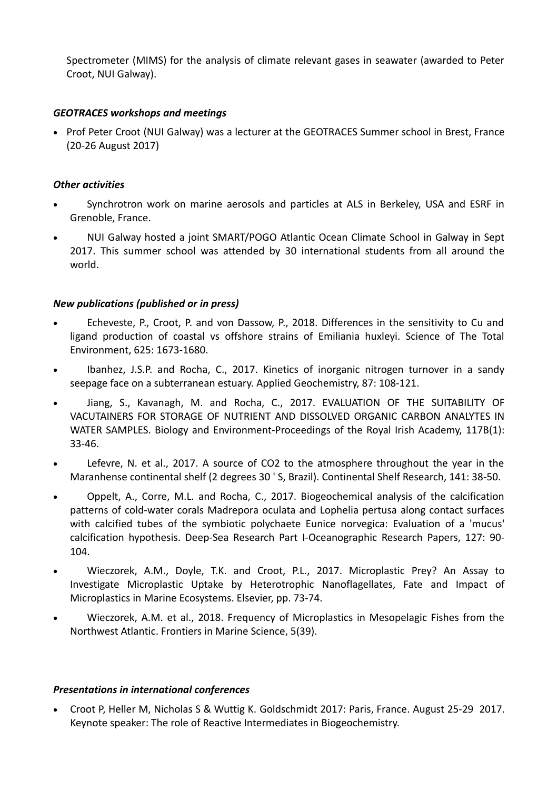Spectrometer (MIMS) for the analysis of climate relevant gases in seawater (awarded to Peter Croot, NUI Galway).

## *GEOTRACES workshops and meetings*

• Prof Peter Croot (NUI Galway) was a lecturer at the GEOTRACES Summer school in Brest, France (20-26 August 2017)

## *Other activities*

- Synchrotron work on marine aerosols and particles at ALS in Berkeley, USA and ESRF in Grenoble, France.
- NUI Galway hosted a joint SMART/POGO Atlantic Ocean Climate School in Galway in Sept 2017. This summer school was attended by 30 international students from all around the world.

## *New publications (published or in press)*

- Echeveste, P., Croot, P. and von Dassow, P., 2018. Differences in the sensitivity to Cu and ligand production of coastal vs offshore strains of Emiliania huxleyi. Science of The Total Environment, 625: 1673-1680.
- Ibanhez, J.S.P. and Rocha, C., 2017. Kinetics of inorganic nitrogen turnover in a sandy seepage face on a subterranean estuary. Applied Geochemistry, 87: 108-121.
- Jiang, S., Kavanagh, M. and Rocha, C., 2017. EVALUATION OF THE SUITABILITY OF VACUTAINERS FOR STORAGE OF NUTRIENT AND DISSOLVED ORGANIC CARBON ANALYTES IN WATER SAMPLES. Biology and Environment-Proceedings of the Royal Irish Academy, 117B(1): 33-46.
- Lefevre, N. et al., 2017. A source of CO2 to the atmosphere throughout the year in the Maranhense continental shelf (2 degrees 30 ' S, Brazil). Continental Shelf Research, 141: 38-50.
- Oppelt, A., Corre, M.L. and Rocha, C., 2017. Biogeochemical analysis of the calcification patterns of cold-water corals Madrepora oculata and Lophelia pertusa along contact surfaces with calcified tubes of the symbiotic polychaete Eunice norvegica: Evaluation of a 'mucus' calcification hypothesis. Deep-Sea Research Part I-Oceanographic Research Papers, 127: 90- 104.
- Wieczorek, A.M., Doyle, T.K. and Croot, P.L., 2017. Microplastic Prey? An Assay to Investigate Microplastic Uptake by Heterotrophic Nanoflagellates, Fate and Impact of Microplastics in Marine Ecosystems. Elsevier, pp. 73-74.
- Wieczorek, A.M. et al., 2018. Frequency of Microplastics in Mesopelagic Fishes from the Northwest Atlantic. Frontiers in Marine Science, 5(39).

#### *Presentations in international conferences*

 Croot P, Heller M, Nicholas S & Wuttig K. Goldschmidt 2017: Paris, France. August 25-29 2017. Keynote speaker: The role of Reactive Intermediates in Biogeochemistry.